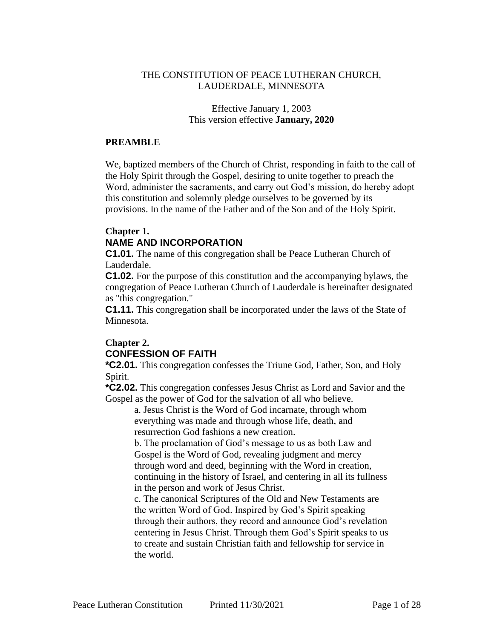#### THE CONSTITUTION OF PEACE LUTHERAN CHURCH, LAUDERDALE, MINNESOTA

#### Effective January 1, 2003 This version effective **January, 2020**

#### **PREAMBLE**

We, baptized members of the Church of Christ, responding in faith to the call of the Holy Spirit through the Gospel, desiring to unite together to preach the Word, administer the sacraments, and carry out God's mission, do hereby adopt this constitution and solemnly pledge ourselves to be governed by its provisions. In the name of the Father and of the Son and of the Holy Spirit.

#### **Chapter 1. NAME AND INCORPORATION**

**C1.01.** The name of this congregation shall be Peace Lutheran Church of Lauderdale.

**C1.02.** For the purpose of this constitution and the accompanying bylaws, the congregation of Peace Lutheran Church of Lauderdale is hereinafter designated as "this congregation."

**C1.11.** This congregation shall be incorporated under the laws of the State of Minnesota.

# **Chapter 2. CONFESSION OF FAITH**

**\*C2.01.** This congregation confesses the Triune God, Father, Son, and Holy Spirit.

**\*C2.02.** This congregation confesses Jesus Christ as Lord and Savior and the Gospel as the power of God for the salvation of all who believe.

a. Jesus Christ is the Word of God incarnate, through whom everything was made and through whose life, death, and resurrection God fashions a new creation.

b. The proclamation of God's message to us as both Law and Gospel is the Word of God, revealing judgment and mercy through word and deed, beginning with the Word in creation, continuing in the history of Israel, and centering in all its fullness in the person and work of Jesus Christ.

c. The canonical Scriptures of the Old and New Testaments are the written Word of God. Inspired by God's Spirit speaking through their authors, they record and announce God's revelation centering in Jesus Christ. Through them God's Spirit speaks to us to create and sustain Christian faith and fellowship for service in the world.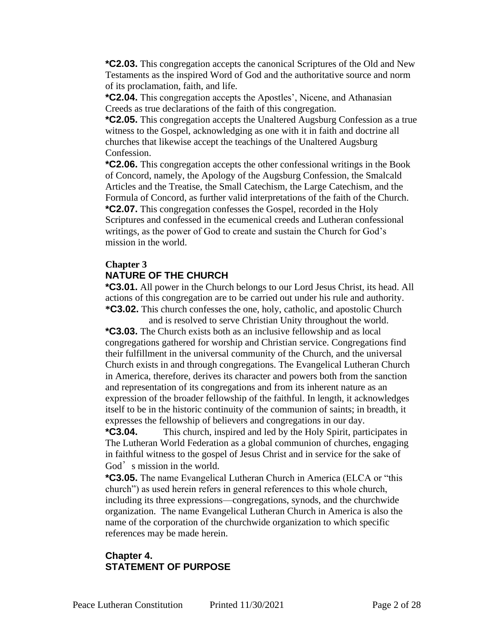**\*C2.03.** This congregation accepts the canonical Scriptures of the Old and New Testaments as the inspired Word of God and the authoritative source and norm of its proclamation, faith, and life.

**\*C2.04.** This congregation accepts the Apostles', Nicene, and Athanasian Creeds as true declarations of the faith of this congregation.

**\*C2.05.** This congregation accepts the Unaltered Augsburg Confession as a true witness to the Gospel, acknowledging as one with it in faith and doctrine all churches that likewise accept the teachings of the Unaltered Augsburg Confession.

**\*C2.06.** This congregation accepts the other confessional writings in the Book of Concord, namely, the Apology of the Augsburg Confession, the Smalcald Articles and the Treatise, the Small Catechism, the Large Catechism, and the Formula of Concord, as further valid interpretations of the faith of the Church. **\*C2.07.** This congregation confesses the Gospel, recorded in the Holy Scriptures and confessed in the ecumenical creeds and Lutheran confessional writings, as the power of God to create and sustain the Church for God's mission in the world.

#### **Chapter 3**

#### **NATURE OF THE CHURCH**

**\*C3.01.** All power in the Church belongs to our Lord Jesus Christ, its head. All actions of this congregation are to be carried out under his rule and authority. **\*C3.02.** This church confesses the one, holy, catholic, and apostolic Church

and is resolved to serve Christian Unity throughout the world. **\*C3.03.** The Church exists both as an inclusive fellowship and as local congregations gathered for worship and Christian service. Congregations find their fulfillment in the universal community of the Church, and the universal Church exists in and through congregations. The Evangelical Lutheran Church in America, therefore, derives its character and powers both from the sanction and representation of its congregations and from its inherent nature as an expression of the broader fellowship of the faithful. In length, it acknowledges itself to be in the historic continuity of the communion of saints; in breadth, it expresses the fellowship of believers and congregations in our day.

**\*C3.04.** This church, inspired and led by the Holy Spirit, participates in The Lutheran World Federation as a global communion of churches, engaging in faithful witness to the gospel of Jesus Christ and in service for the sake of God's mission in the world.

**\*C3.05.** The name Evangelical Lutheran Church in America (ELCA or "this church") as used herein refers in general references to this whole church, including its three expressions—congregations, synods, and the churchwide organization. The name Evangelical Lutheran Church in America is also the name of the corporation of the churchwide organization to which specific references may be made herein.

#### **Chapter 4. STATEMENT OF PURPOSE**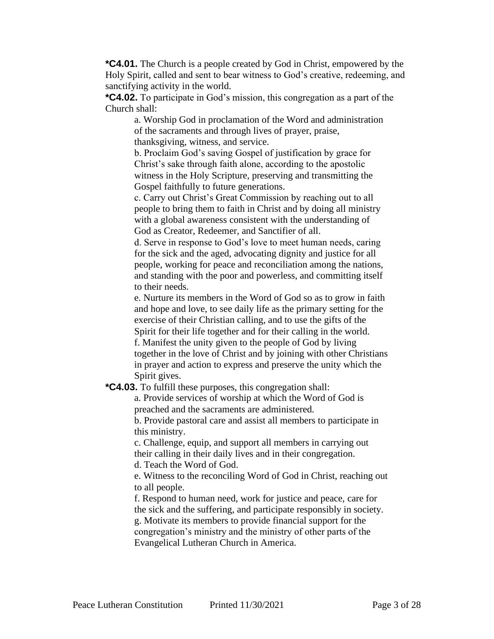**\*C4.01.** The Church is a people created by God in Christ, empowered by the Holy Spirit, called and sent to bear witness to God's creative, redeeming, and sanctifying activity in the world.

**\*C4.02.** To participate in God's mission, this congregation as a part of the Church shall:

a. Worship God in proclamation of the Word and administration of the sacraments and through lives of prayer, praise, thanksgiving, witness, and service.

b. Proclaim God's saving Gospel of justification by grace for Christ's sake through faith alone, according to the apostolic witness in the Holy Scripture, preserving and transmitting the Gospel faithfully to future generations.

c. Carry out Christ's Great Commission by reaching out to all people to bring them to faith in Christ and by doing all ministry with a global awareness consistent with the understanding of God as Creator, Redeemer, and Sanctifier of all.

d. Serve in response to God's love to meet human needs, caring for the sick and the aged, advocating dignity and justice for all people, working for peace and reconciliation among the nations, and standing with the poor and powerless, and committing itself to their needs.

e. Nurture its members in the Word of God so as to grow in faith and hope and love, to see daily life as the primary setting for the exercise of their Christian calling, and to use the gifts of the Spirit for their life together and for their calling in the world. f. Manifest the unity given to the people of God by living together in the love of Christ and by joining with other Christians in prayer and action to express and preserve the unity which the Spirit gives.

**\*C4.03.** To fulfill these purposes, this congregation shall:

a. Provide services of worship at which the Word of God is preached and the sacraments are administered.

b. Provide pastoral care and assist all members to participate in this ministry.

c. Challenge, equip, and support all members in carrying out their calling in their daily lives and in their congregation.

d. Teach the Word of God.

e. Witness to the reconciling Word of God in Christ, reaching out to all people.

f. Respond to human need, work for justice and peace, care for the sick and the suffering, and participate responsibly in society. g. Motivate its members to provide financial support for the congregation's ministry and the ministry of other parts of the Evangelical Lutheran Church in America.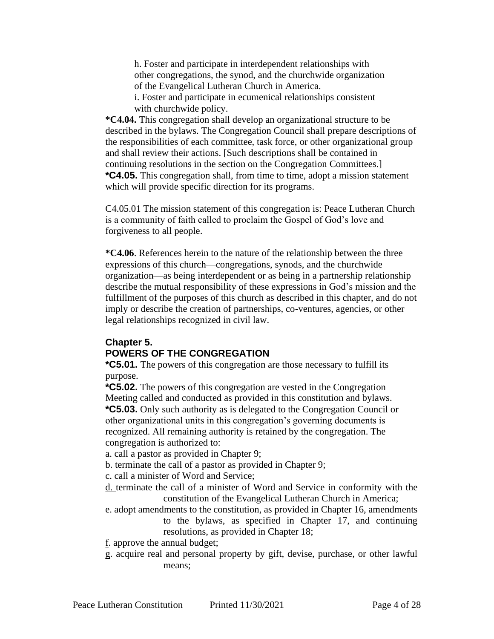h. Foster and participate in interdependent relationships with other congregations, the synod, and the churchwide organization of the Evangelical Lutheran Church in America.

i. Foster and participate in ecumenical relationships consistent with churchwide policy.

**\*C4.04.** This congregation shall develop an organizational structure to be described in the bylaws. The Congregation Council shall prepare descriptions of the responsibilities of each committee, task force, or other organizational group and shall review their actions. [Such descriptions shall be contained in continuing resolutions in the section on the Congregation Committees.] **\*C4.05.** This congregation shall, from time to time, adopt a mission statement which will provide specific direction for its programs.

C4.05.01 The mission statement of this congregation is: Peace Lutheran Church is a community of faith called to proclaim the Gospel of God's love and forgiveness to all people.

**\*C4.06**. References herein to the nature of the relationship between the three expressions of this church—congregations, synods, and the churchwide organization—as being interdependent or as being in a partnership relationship describe the mutual responsibility of these expressions in God's mission and the fulfillment of the purposes of this church as described in this chapter, and do not imply or describe the creation of partnerships, co-ventures, agencies, or other legal relationships recognized in civil law.

# **Chapter 5. POWERS OF THE CONGREGATION**

**\*C5.01.** The powers of this congregation are those necessary to fulfill its purpose.

**\*C5.02.** The powers of this congregation are vested in the Congregation Meeting called and conducted as provided in this constitution and bylaws. **\*C5.03.** Only such authority as is delegated to the Congregation Council or other organizational units in this congregation's governing documents is recognized. All remaining authority is retained by the congregation. The congregation is authorized to:

- a. call a pastor as provided in Chapter 9;
- b. terminate the call of a pastor as provided in Chapter 9;
- c. call a minister of Word and Service;
- d. terminate the call of a minister of Word and Service in conformity with the constitution of the Evangelical Lutheran Church in America;
- e. adopt amendments to the constitution, as provided in Chapter 16, amendments to the bylaws, as specified in Chapter 17, and continuing resolutions, as provided in Chapter 18;
- f. approve the annual budget;
- g. acquire real and personal property by gift, devise, purchase, or other lawful means;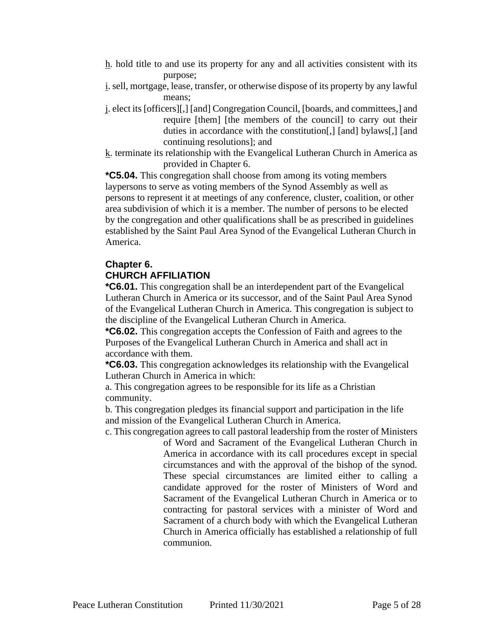- h. hold title to and use its property for any and all activities consistent with its purpose;
- i. sell, mortgage, lease, transfer, or otherwise dispose of its property by any lawful means;
- j. elect its [officers][,] [and] Congregation Council, [boards, and committees,] and require [them] [the members of the council] to carry out their duties in accordance with the constitution[,] [and] bylaws[,] [and continuing resolutions]; and
- k. terminate its relationship with the Evangelical Lutheran Church in America as provided in Chapter 6.

**\*C5.04.** This congregation shall choose from among its voting members laypersons to serve as voting members of the Synod Assembly as well as persons to represent it at meetings of any conference, cluster, coalition, or other area subdivision of which it is a member. The number of persons to be elected by the congregation and other qualifications shall be as prescribed in guidelines established by the Saint Paul Area Synod of the Evangelical Lutheran Church in America.

# **Chapter 6. CHURCH AFFILIATION**

**\*C6.01.** This congregation shall be an interdependent part of the Evangelical Lutheran Church in America or its successor, and of the Saint Paul Area Synod of the Evangelical Lutheran Church in America. This congregation is subject to the discipline of the Evangelical Lutheran Church in America.

**\*C6.02.** This congregation accepts the Confession of Faith and agrees to the Purposes of the Evangelical Lutheran Church in America and shall act in accordance with them.

**\*C6.03.** This congregation acknowledges its relationship with the Evangelical Lutheran Church in America in which:

a. This congregation agrees to be responsible for its life as a Christian community.

b. This congregation pledges its financial support and participation in the life and mission of the Evangelical Lutheran Church in America.

c. This congregation agrees to call pastoral leadership from the roster of Ministers

of Word and Sacrament of the Evangelical Lutheran Church in America in accordance with its call procedures except in special circumstances and with the approval of the bishop of the synod. These special circumstances are limited either to calling a candidate approved for the roster of Ministers of Word and Sacrament of the Evangelical Lutheran Church in America or to contracting for pastoral services with a minister of Word and Sacrament of a church body with which the Evangelical Lutheran Church in America officially has established a relationship of full communion.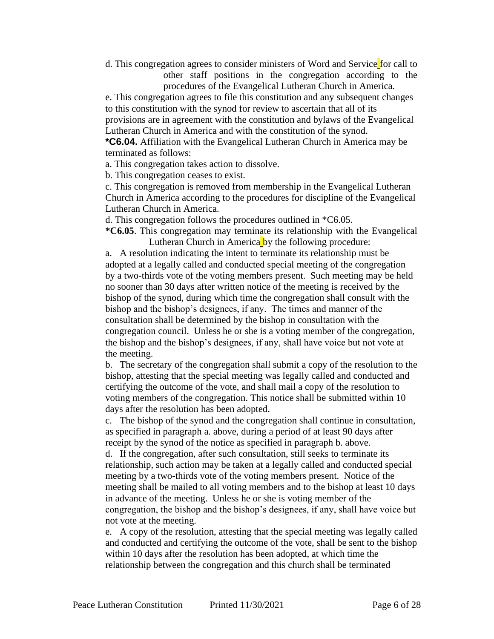d. This congregation agrees to consider ministers of Word and Service for call to other staff positions in the congregation according to the procedures of the Evangelical Lutheran Church in America.

e. This congregation agrees to file this constitution and any subsequent changes to this constitution with the synod for review to ascertain that all of its provisions are in agreement with the constitution and bylaws of the Evangelical Lutheran Church in America and with the constitution of the synod.

**\*C6.04.** Affiliation with the Evangelical Lutheran Church in America may be terminated as follows:

a. This congregation takes action to dissolve.

b. This congregation ceases to exist.

c. This congregation is removed from membership in the Evangelical Lutheran Church in America according to the procedures for discipline of the Evangelical Lutheran Church in America.

d. This congregation follows the procedures outlined in \*C6.05.

**\*C6.05**. This congregation may terminate its relationship with the Evangelical Lutheran Church in America by the following procedure:

a. A resolution indicating the intent to terminate its relationship must be adopted at a legally called and conducted special meeting of the congregation by a two-thirds vote of the voting members present. Such meeting may be held no sooner than 30 days after written notice of the meeting is received by the bishop of the synod, during which time the congregation shall consult with the bishop and the bishop's designees, if any. The times and manner of the consultation shall be determined by the bishop in consultation with the congregation council. Unless he or she is a voting member of the congregation, the bishop and the bishop's designees, if any, shall have voice but not vote at the meeting.

b. The secretary of the congregation shall submit a copy of the resolution to the bishop, attesting that the special meeting was legally called and conducted and certifying the outcome of the vote, and shall mail a copy of the resolution to voting members of the congregation. This notice shall be submitted within 10 days after the resolution has been adopted.

c. The bishop of the synod and the congregation shall continue in consultation, as specified in paragraph a. above, during a period of at least 90 days after receipt by the synod of the notice as specified in paragraph b. above.

d. If the congregation, after such consultation, still seeks to terminate its relationship, such action may be taken at a legally called and conducted special meeting by a two-thirds vote of the voting members present. Notice of the meeting shall be mailed to all voting members and to the bishop at least 10 days in advance of the meeting. Unless he or she is voting member of the congregation, the bishop and the bishop's designees, if any, shall have voice but not vote at the meeting.

e. A copy of the resolution, attesting that the special meeting was legally called and conducted and certifying the outcome of the vote, shall be sent to the bishop within 10 days after the resolution has been adopted, at which time the relationship between the congregation and this church shall be terminated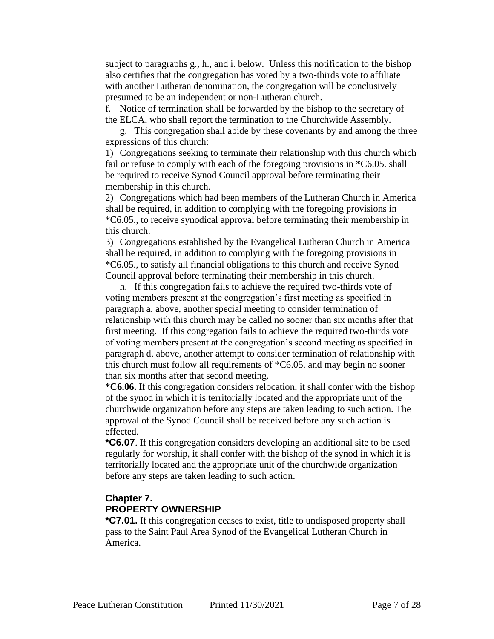subject to paragraphs g., h., and i. below. Unless this notification to the bishop also certifies that the congregation has voted by a two-thirds vote to affiliate with another Lutheran denomination, the congregation will be conclusively presumed to be an independent or non-Lutheran church.

f. Notice of termination shall be forwarded by the bishop to the secretary of the ELCA, who shall report the termination to the Churchwide Assembly.

g. This congregation shall abide by these covenants by and among the three expressions of this church:

1) Congregations seeking to terminate their relationship with this church which fail or refuse to comply with each of the foregoing provisions in \*C6.05. shall be required to receive Synod Council approval before terminating their membership in this church.

2) Congregations which had been members of the Lutheran Church in America shall be required, in addition to complying with the foregoing provisions in \*C6.05., to receive synodical approval before terminating their membership in this church.

3) Congregations established by the Evangelical Lutheran Church in America shall be required, in addition to complying with the foregoing provisions in \*C6.05., to satisfy all financial obligations to this church and receive Synod Council approval before terminating their membership in this church.

h. If this congregation fails to achieve the required two-thirds vote of voting members present at the congregation's first meeting as specified in paragraph a. above, another special meeting to consider termination of relationship with this church may be called no sooner than six months after that first meeting. If this congregation fails to achieve the required two-thirds vote of voting members present at the congregation's second meeting as specified in paragraph d. above, another attempt to consider termination of relationship with this church must follow all requirements of \*C6.05. and may begin no sooner than six months after that second meeting.

**\*C6.06.** If this congregation considers relocation, it shall confer with the bishop of the synod in which it is territorially located and the appropriate unit of the churchwide organization before any steps are taken leading to such action. The approval of the Synod Council shall be received before any such action is effected.

**\*C6.07**. If this congregation considers developing an additional site to be used regularly for worship, it shall confer with the bishop of the synod in which it is territorially located and the appropriate unit of the churchwide organization before any steps are taken leading to such action.

# **Chapter 7. PROPERTY OWNERSHIP**

**\*C7.01.** If this congregation ceases to exist, title to undisposed property shall pass to the Saint Paul Area Synod of the Evangelical Lutheran Church in America.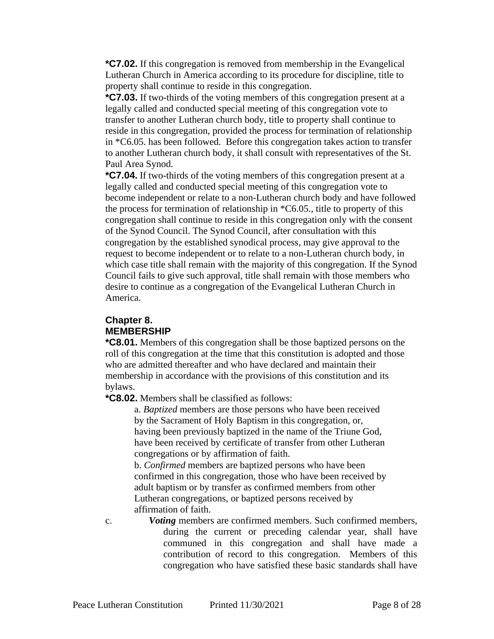**\*C7.02.** If this congregation is removed from membership in the Evangelical Lutheran Church in America according to its procedure for discipline, title to property shall continue to reside in this congregation.

**\*C7.03.** If two-thirds of the voting members of this congregation present at a legally called and conducted special meeting of this congregation vote to transfer to another Lutheran church body, title to property shall continue to reside in this congregation, provided the process for termination of relationship in \*C6.05. has been followed. Before this congregation takes action to transfer to another Lutheran church body, it shall consult with representatives of the St. Paul Area Synod.

**\*C7.04.** If two-thirds of the voting members of this congregation present at a legally called and conducted special meeting of this congregation vote to become independent or relate to a non-Lutheran church body and have followed the process for termination of relationship in \*C6.05., title to property of this congregation shall continue to reside in this congregation only with the consent of the Synod Council. The Synod Council, after consultation with this congregation by the established synodical process, may give approval to the request to become independent or to relate to a non-Lutheran church body, in which case title shall remain with the majority of this congregation. If the Synod Council fails to give such approval, title shall remain with those members who desire to continue as a congregation of the Evangelical Lutheran Church in America.

# **Chapter 8. MEMBERSHIP**

**\*C8.01.** Members of this congregation shall be those baptized persons on the roll of this congregation at the time that this constitution is adopted and those who are admitted thereafter and who have declared and maintain their membership in accordance with the provisions of this constitution and its bylaws.

**\*C8.02.** Members shall be classified as follows:

a. *Baptized* members are those persons who have been received by the Sacrament of Holy Baptism in this congregation, or, having been previously baptized in the name of the Triune God, have been received by certificate of transfer from other Lutheran congregations or by affirmation of faith.

b. *Confirmed* members are baptized persons who have been confirmed in this congregation, those who have been received by adult baptism or by transfer as confirmed members from other Lutheran congregations, or baptized persons received by affirmation of faith.

c. *Voting* members are confirmed members. Such confirmed members, during the current or preceding calendar year, shall have communed in this congregation and shall have made a contribution of record to this congregation. Members of this congregation who have satisfied these basic standards shall have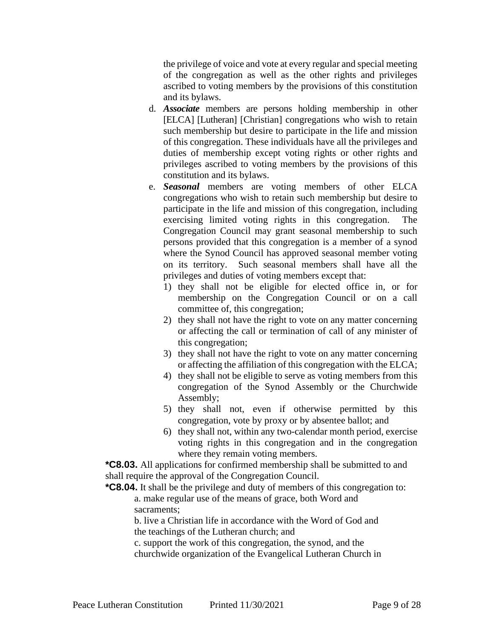the privilege of voice and vote at every regular and special meeting of the congregation as well as the other rights and privileges ascribed to voting members by the provisions of this constitution and its bylaws.

- d. *Associate* members are persons holding membership in other [ELCA] [Lutheran] [Christian] congregations who wish to retain such membership but desire to participate in the life and mission of this congregation. These individuals have all the privileges and duties of membership except voting rights or other rights and privileges ascribed to voting members by the provisions of this constitution and its bylaws.
- e. *Seasonal* members are voting members of other ELCA congregations who wish to retain such membership but desire to participate in the life and mission of this congregation, including exercising limited voting rights in this congregation. The Congregation Council may grant seasonal membership to such persons provided that this congregation is a member of a synod where the Synod Council has approved seasonal member voting on its territory. Such seasonal members shall have all the privileges and duties of voting members except that:
	- 1) they shall not be eligible for elected office in, or for membership on the Congregation Council or on a call committee of, this congregation;
	- 2) they shall not have the right to vote on any matter concerning or affecting the call or termination of call of any minister of this congregation;
	- 3) they shall not have the right to vote on any matter concerning or affecting the affiliation of this congregation with the ELCA;
	- 4) they shall not be eligible to serve as voting members from this congregation of the Synod Assembly or the Churchwide Assembly;
	- 5) they shall not, even if otherwise permitted by this congregation, vote by proxy or by absentee ballot; and
	- 6) they shall not, within any two-calendar month period, exercise voting rights in this congregation and in the congregation where they remain voting members.

**\*C8.03.** All applications for confirmed membership shall be submitted to and shall require the approval of the Congregation Council.

**\*C8.04.** It shall be the privilege and duty of members of this congregation to:

a. make regular use of the means of grace, both Word and sacraments;

b. live a Christian life in accordance with the Word of God and the teachings of the Lutheran church; and

c. support the work of this congregation, the synod, and the

churchwide organization of the Evangelical Lutheran Church in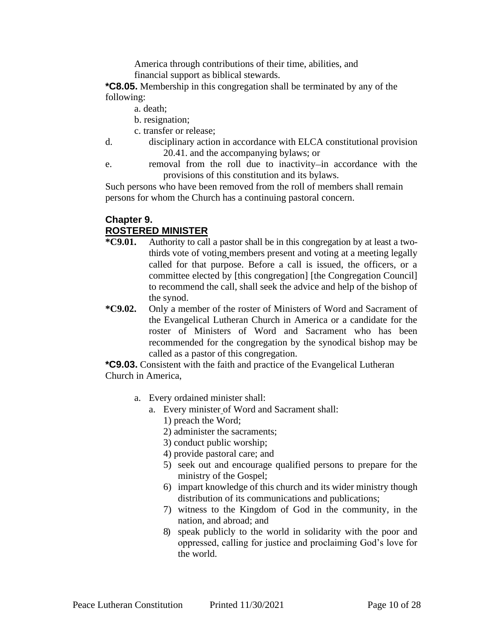America through contributions of their time, abilities, and financial support as biblical stewards.

**\*C8.05.** Membership in this congregation shall be terminated by any of the following:

- a. death;
- b. resignation;
- c. transfer or release;
- d. disciplinary action in accordance with ELCA constitutional provision 20.41. and the accompanying bylaws; or
- e. removal from the roll due to inactivity-in accordance with the provisions of this constitution and its bylaws.

Such persons who have been removed from the roll of members shall remain persons for whom the Church has a continuing pastoral concern.

### **Chapter 9. ROSTERED MINISTER**

- **\*C9.01.** Authority to call a pastor shall be in this congregation by at least a twothirds vote of voting members present and voting at a meeting legally called for that purpose. Before a call is issued, the officers, or a committee elected by [this congregation] [the Congregation Council] to recommend the call, shall seek the advice and help of the bishop of the synod.
- **\*C9.02.** Only a member of the roster of Ministers of Word and Sacrament of the Evangelical Lutheran Church in America or a candidate for the roster of Ministers of Word and Sacrament who has been recommended for the congregation by the synodical bishop may be called as a pastor of this congregation.

**\*C9.03.** Consistent with the faith and practice of the Evangelical Lutheran Church in America,

- a. Every ordained minister shall:
	- a. Every minister of Word and Sacrament shall:
		- 1) preach the Word;
		- 2) administer the sacraments;
		- 3) conduct public worship;
		- 4) provide pastoral care; and
		- 5) seek out and encourage qualified persons to prepare for the ministry of the Gospel;
		- 6) impart knowledge of this church and its wider ministry though distribution of its communications and publications;
		- 7) witness to the Kingdom of God in the community, in the nation, and abroad; and
		- 8) speak publicly to the world in solidarity with the poor and oppressed, calling for justice and proclaiming God's love for the world.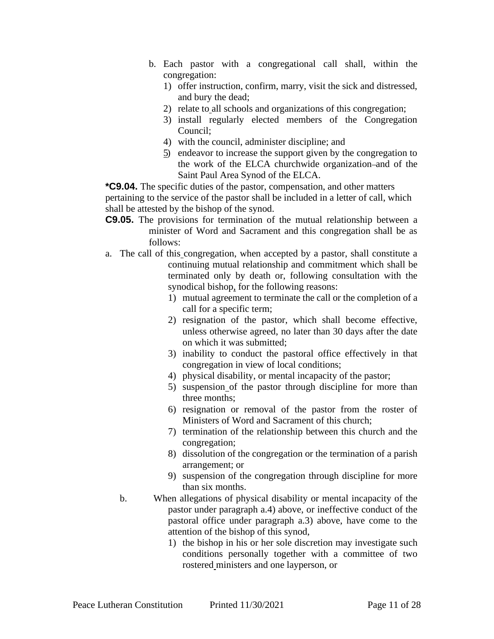- b. Each pastor with a congregational call shall, within the congregation:
	- 1) offer instruction, confirm, marry, visit the sick and distressed, and bury the dead;
	- 2) relate to all schools and organizations of this congregation;
	- 3) install regularly elected members of the Congregation Council;
	- 4) with the council, administer discipline; and
	- 5) endeavor to increase the support given by the congregation to the work of the ELCA churchwide organization-and of the Saint Paul Area Synod of the ELCA.

**\*C9.04.** The specific duties of the pastor, compensation, and other matters pertaining to the service of the pastor shall be included in a letter of call, which shall be attested by the bishop of the synod.

- **C9.05.** The provisions for termination of the mutual relationship between a minister of Word and Sacrament and this congregation shall be as follows:
- a. The call of this congregation, when accepted by a pastor, shall constitute a continuing mutual relationship and commitment which shall be terminated only by death or, following consultation with the synodical bishop, for the following reasons:
	- 1) mutual agreement to terminate the call or the completion of a call for a specific term;
	- 2) resignation of the pastor, which shall become effective, unless otherwise agreed, no later than 30 days after the date on which it was submitted;
	- 3) inability to conduct the pastoral office effectively in that congregation in view of local conditions;
	- 4) physical disability, or mental incapacity of the pastor;
	- 5) suspension of the pastor through discipline for more than three months;
	- 6) resignation or removal of the pastor from the roster of Ministers of Word and Sacrament of this church;
	- 7) termination of the relationship between this church and the congregation;
	- 8) dissolution of the congregation or the termination of a parish arrangement; or
	- 9) suspension of the congregation through discipline for more than six months.
	- b. When allegations of physical disability or mental incapacity of the pastor under paragraph a.4) above, or ineffective conduct of the pastoral office under paragraph a.3) above, have come to the attention of the bishop of this synod,
		- 1) the bishop in his or her sole discretion may investigate such conditions personally together with a committee of two rostered ministers and one layperson, or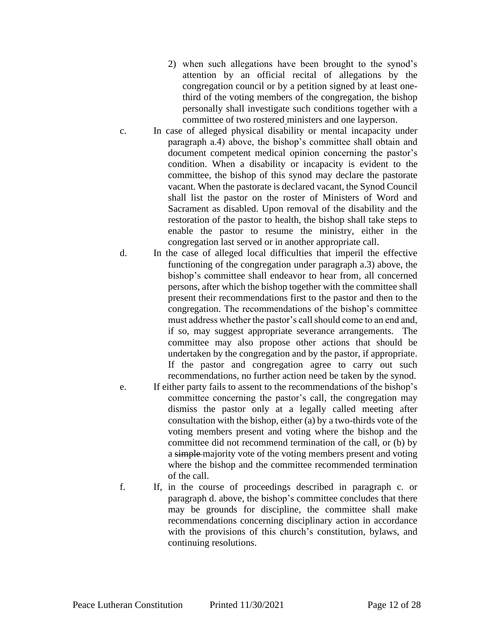- 2) when such allegations have been brought to the synod's attention by an official recital of allegations by the congregation council or by a petition signed by at least onethird of the voting members of the congregation, the bishop personally shall investigate such conditions together with a committee of two rostered ministers and one layperson.
- c. In case of alleged physical disability or mental incapacity under paragraph a.4) above, the bishop's committee shall obtain and document competent medical opinion concerning the pastor's condition. When a disability or incapacity is evident to the committee, the bishop of this synod may declare the pastorate vacant. When the pastorate is declared vacant, the Synod Council shall list the pastor on the roster of Ministers of Word and Sacrament as disabled. Upon removal of the disability and the restoration of the pastor to health, the bishop shall take steps to enable the pastor to resume the ministry, either in the congregation last served or in another appropriate call.
- d. In the case of alleged local difficulties that imperil the effective functioning of the congregation under paragraph a.3) above, the bishop's committee shall endeavor to hear from, all concerned persons, after which the bishop together with the committee shall present their recommendations first to the pastor and then to the congregation. The recommendations of the bishop's committee must address whether the pastor's call should come to an end and, if so, may suggest appropriate severance arrangements. The committee may also propose other actions that should be undertaken by the congregation and by the pastor, if appropriate. If the pastor and congregation agree to carry out such recommendations, no further action need be taken by the synod.
- e. If either party fails to assent to the recommendations of the bishop's committee concerning the pastor's call, the congregation may dismiss the pastor only at a legally called meeting after consultation with the bishop, either (a) by a two-thirds vote of the voting members present and voting where the bishop and the committee did not recommend termination of the call, or (b) by a simple majority vote of the voting members present and voting where the bishop and the committee recommended termination of the call.
- f. If, in the course of proceedings described in paragraph c. or paragraph d. above, the bishop's committee concludes that there may be grounds for discipline, the committee shall make recommendations concerning disciplinary action in accordance with the provisions of this church's constitution, bylaws, and continuing resolutions.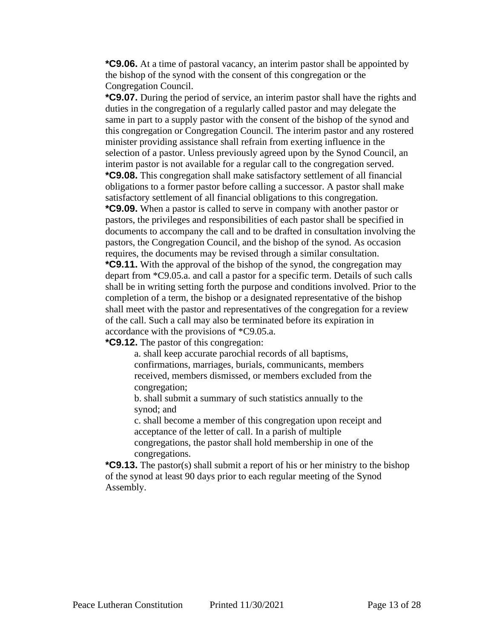**\*C9.06.** At a time of pastoral vacancy, an interim pastor shall be appointed by the bishop of the synod with the consent of this congregation or the Congregation Council.

**\*C9.07.** During the period of service, an interim pastor shall have the rights and duties in the congregation of a regularly called pastor and may delegate the same in part to a supply pastor with the consent of the bishop of the synod and this congregation or Congregation Council. The interim pastor and any rostered minister providing assistance shall refrain from exerting influence in the selection of a pastor. Unless previously agreed upon by the Synod Council, an interim pastor is not available for a regular call to the congregation served. **\*C9.08.** This congregation shall make satisfactory settlement of all financial obligations to a former pastor before calling a successor. A pastor shall make satisfactory settlement of all financial obligations to this congregation. **\*C9.09.** When a pastor is called to serve in company with another pastor or pastors, the privileges and responsibilities of each pastor shall be specified in documents to accompany the call and to be drafted in consultation involving the pastors, the Congregation Council, and the bishop of the synod. As occasion requires, the documents may be revised through a similar consultation. **\*C9.11.** With the approval of the bishop of the synod, the congregation may depart from \*C9.05.a. and call a pastor for a specific term. Details of such calls shall be in writing setting forth the purpose and conditions involved. Prior to the completion of a term, the bishop or a designated representative of the bishop shall meet with the pastor and representatives of the congregation for a review of the call. Such a call may also be terminated before its expiration in accordance with the provisions of \*C9.05.a.

**\*C9.12.** The pastor of this congregation:

a. shall keep accurate parochial records of all baptisms, confirmations, marriages, burials, communicants, members received, members dismissed, or members excluded from the congregation;

b. shall submit a summary of such statistics annually to the synod; and

c. shall become a member of this congregation upon receipt and acceptance of the letter of call. In a parish of multiple congregations, the pastor shall hold membership in one of the congregations.

**\*C9.13.** The pastor(s) shall submit a report of his or her ministry to the bishop of the synod at least 90 days prior to each regular meeting of the Synod Assembly.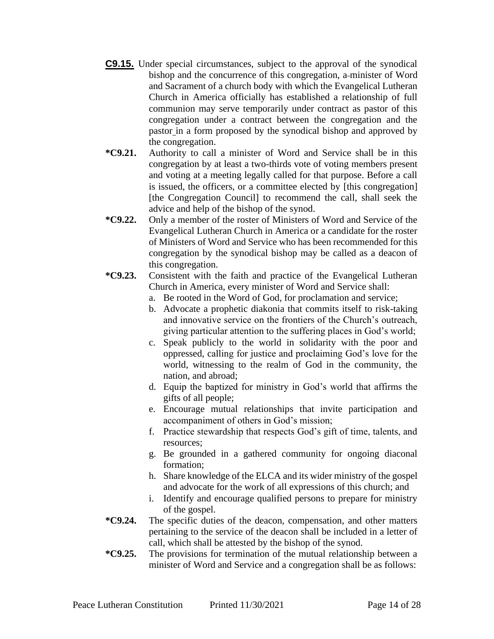- **C9.15.** Under special circumstances, subject to the approval of the synodical bishop and the concurrence of this congregation, a-minister of Word and Sacrament of a church body with which the Evangelical Lutheran Church in America officially has established a relationship of full communion may serve temporarily under contract as pastor of this congregation under a contract between the congregation and the pastor in a form proposed by the synodical bishop and approved by the congregation.
- **\*C9.21.** Authority to call a minister of Word and Service shall be in this congregation by at least a two-thirds vote of voting members present and voting at a meeting legally called for that purpose. Before a call is issued, the officers, or a committee elected by [this congregation] [the Congregation Council] to recommend the call, shall seek the advice and help of the bishop of the synod.
- **\*C9.22.** Only a member of the roster of Ministers of Word and Service of the Evangelical Lutheran Church in America or a candidate for the roster of Ministers of Word and Service who has been recommended for this congregation by the synodical bishop may be called as a deacon of this congregation.
- **\*C9.23.** Consistent with the faith and practice of the Evangelical Lutheran Church in America, every minister of Word and Service shall:
	- a. Be rooted in the Word of God, for proclamation and service;
	- b. Advocate a prophetic diakonia that commits itself to risk-taking and innovative service on the frontiers of the Church's outreach, giving particular attention to the suffering places in God's world;
	- c. Speak publicly to the world in solidarity with the poor and oppressed, calling for justice and proclaiming God's love for the world, witnessing to the realm of God in the community, the nation, and abroad;
	- d. Equip the baptized for ministry in God's world that affirms the gifts of all people;
	- e. Encourage mutual relationships that invite participation and accompaniment of others in God's mission;
	- f. Practice stewardship that respects God's gift of time, talents, and resources;
	- g. Be grounded in a gathered community for ongoing diaconal formation;
	- h. Share knowledge of the ELCA and its wider ministry of the gospel and advocate for the work of all expressions of this church; and
	- i. Identify and encourage qualified persons to prepare for ministry of the gospel.
- **\*C9.24.** The specific duties of the deacon, compensation, and other matters pertaining to the service of the deacon shall be included in a letter of call, which shall be attested by the bishop of the synod.
- **\*C9.25.** The provisions for termination of the mutual relationship between a minister of Word and Service and a congregation shall be as follows: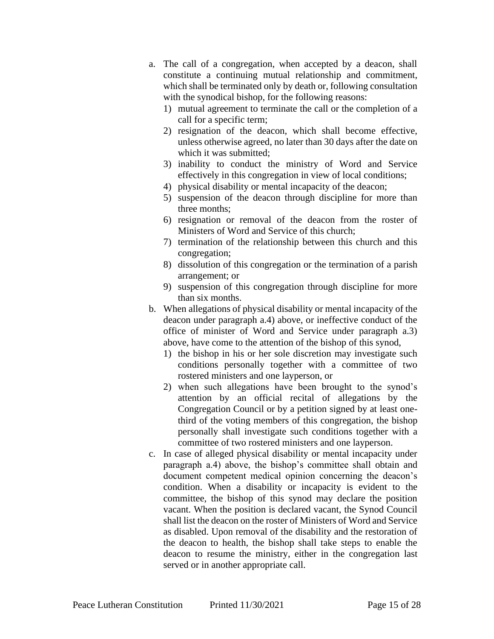- a. The call of a congregation, when accepted by a deacon, shall constitute a continuing mutual relationship and commitment, which shall be terminated only by death or, following consultation with the synodical bishop, for the following reasons:
	- 1) mutual agreement to terminate the call or the completion of a call for a specific term;
	- 2) resignation of the deacon, which shall become effective, unless otherwise agreed, no later than 30 days after the date on which it was submitted;
	- 3) inability to conduct the ministry of Word and Service effectively in this congregation in view of local conditions;
	- 4) physical disability or mental incapacity of the deacon;
	- 5) suspension of the deacon through discipline for more than three months;
	- 6) resignation or removal of the deacon from the roster of Ministers of Word and Service of this church;
	- 7) termination of the relationship between this church and this congregation;
	- 8) dissolution of this congregation or the termination of a parish arrangement; or
	- 9) suspension of this congregation through discipline for more than six months.
- b. When allegations of physical disability or mental incapacity of the deacon under paragraph a.4) above, or ineffective conduct of the office of minister of Word and Service under paragraph a.3) above, have come to the attention of the bishop of this synod,
	- 1) the bishop in his or her sole discretion may investigate such conditions personally together with a committee of two rostered ministers and one layperson, or
	- 2) when such allegations have been brought to the synod's attention by an official recital of allegations by the Congregation Council or by a petition signed by at least onethird of the voting members of this congregation, the bishop personally shall investigate such conditions together with a committee of two rostered ministers and one layperson.
- c. In case of alleged physical disability or mental incapacity under paragraph a.4) above, the bishop's committee shall obtain and document competent medical opinion concerning the deacon's condition. When a disability or incapacity is evident to the committee, the bishop of this synod may declare the position vacant. When the position is declared vacant, the Synod Council shall list the deacon on the roster of Ministers of Word and Service as disabled. Upon removal of the disability and the restoration of the deacon to health, the bishop shall take steps to enable the deacon to resume the ministry, either in the congregation last served or in another appropriate call.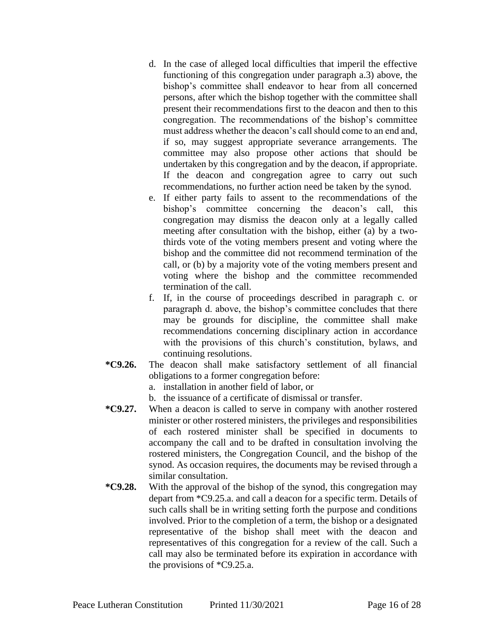- d. In the case of alleged local difficulties that imperil the effective functioning of this congregation under paragraph a.3) above, the bishop's committee shall endeavor to hear from all concerned persons, after which the bishop together with the committee shall present their recommendations first to the deacon and then to this congregation. The recommendations of the bishop's committee must address whether the deacon's call should come to an end and, if so, may suggest appropriate severance arrangements. The committee may also propose other actions that should be undertaken by this congregation and by the deacon, if appropriate. If the deacon and congregation agree to carry out such recommendations, no further action need be taken by the synod.
- e. If either party fails to assent to the recommendations of the bishop's committee concerning the deacon's call, this congregation may dismiss the deacon only at a legally called meeting after consultation with the bishop, either (a) by a twothirds vote of the voting members present and voting where the bishop and the committee did not recommend termination of the call, or (b) by a majority vote of the voting members present and voting where the bishop and the committee recommended termination of the call.
- f. If, in the course of proceedings described in paragraph c. or paragraph d. above, the bishop's committee concludes that there may be grounds for discipline, the committee shall make recommendations concerning disciplinary action in accordance with the provisions of this church's constitution, bylaws, and continuing resolutions.
- **\*C9.26.** The deacon shall make satisfactory settlement of all financial obligations to a former congregation before:
	- a. installation in another field of labor, or
	- b. the issuance of a certificate of dismissal or transfer.
- **\*C9.27.** When a deacon is called to serve in company with another rostered minister or other rostered ministers, the privileges and responsibilities of each rostered minister shall be specified in documents to accompany the call and to be drafted in consultation involving the rostered ministers, the Congregation Council, and the bishop of the synod. As occasion requires, the documents may be revised through a similar consultation.
- **\*C9.28.** With the approval of the bishop of the synod, this congregation may depart from \*C9.25.a. and call a deacon for a specific term. Details of such calls shall be in writing setting forth the purpose and conditions involved. Prior to the completion of a term, the bishop or a designated representative of the bishop shall meet with the deacon and representatives of this congregation for a review of the call. Such a call may also be terminated before its expiration in accordance with the provisions of \*C9.25.a.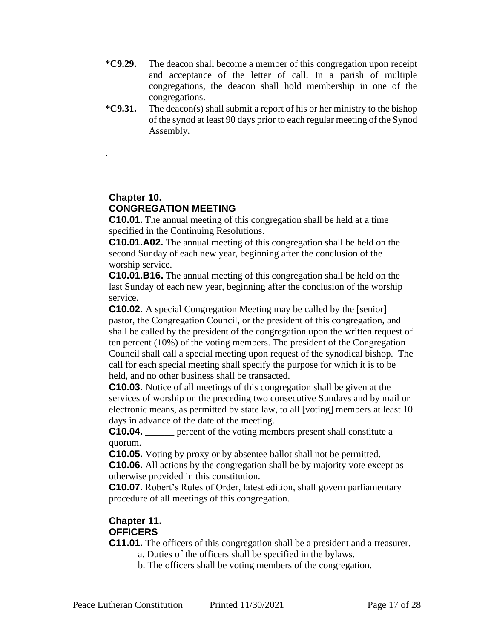- **\*C9.29.** The deacon shall become a member of this congregation upon receipt and acceptance of the letter of call. In a parish of multiple congregations, the deacon shall hold membership in one of the congregations.
- **\*C9.31.** The deacon(s) shall submit a report of his or her ministry to the bishop of the synod at least 90 days prior to each regular meeting of the Synod Assembly.

# **Chapter 10. CONGREGATION MEETING**

.

**C10.01.** The annual meeting of this congregation shall be held at a time specified in the Continuing Resolutions.

**C10.01.A02.** The annual meeting of this congregation shall be held on the second Sunday of each new year, beginning after the conclusion of the worship service.

**C10.01.B16.** The annual meeting of this congregation shall be held on the last Sunday of each new year, beginning after the conclusion of the worship service.

**C10.02.** A special Congregation Meeting may be called by the [senior] pastor, the Congregation Council, or the president of this congregation, and shall be called by the president of the congregation upon the written request of ten percent (10%) of the voting members. The president of the Congregation Council shall call a special meeting upon request of the synodical bishop. The call for each special meeting shall specify the purpose for which it is to be held, and no other business shall be transacted.

**C10.03.** Notice of all meetings of this congregation shall be given at the services of worship on the preceding two consecutive Sundays and by mail or electronic means, as permitted by state law, to all [voting] members at least 10 days in advance of the date of the meeting.

**C10.04.** \_\_\_\_\_\_ percent of the voting members present shall constitute a quorum.

**C10.05.** Voting by proxy or by absentee ballot shall not be permitted.

**C10.06.** All actions by the congregation shall be by majority vote except as otherwise provided in this constitution.

**C10.07.** Robert's Rules of Order, latest edition, shall govern parliamentary procedure of all meetings of this congregation.

### **Chapter 11.**

#### **OFFICERS**

**C11.01.** The officers of this congregation shall be a president and a treasurer. a. Duties of the officers shall be specified in the bylaws.

b. The officers shall be voting members of the congregation.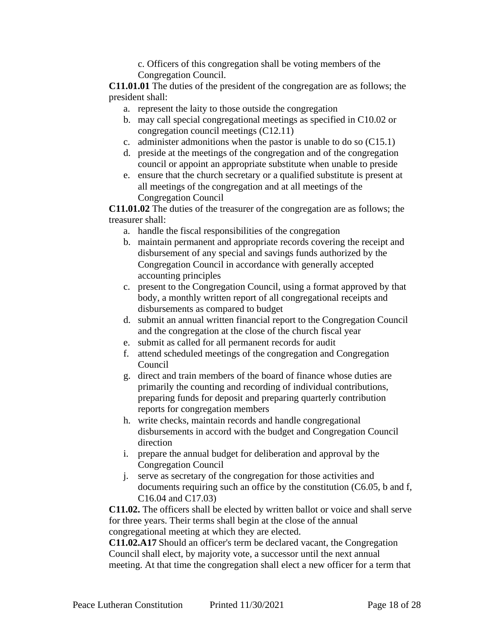c. Officers of this congregation shall be voting members of the Congregation Council.

**C11.01.01** The duties of the president of the congregation are as follows; the president shall:

- a. represent the laity to those outside the congregation
- b. may call special congregational meetings as specified in C10.02 or congregation council meetings (C12.11)
- c. administer admonitions when the pastor is unable to do so (C15.1)
- d. preside at the meetings of the congregation and of the congregation council or appoint an appropriate substitute when unable to preside
- e. ensure that the church secretary or a qualified substitute is present at all meetings of the congregation and at all meetings of the Congregation Council

**C11.01.02** The duties of the treasurer of the congregation are as follows; the treasurer shall:

- a. handle the fiscal responsibilities of the congregation
- b. maintain permanent and appropriate records covering the receipt and disbursement of any special and savings funds authorized by the Congregation Council in accordance with generally accepted accounting principles
- c. present to the Congregation Council, using a format approved by that body, a monthly written report of all congregational receipts and disbursements as compared to budget
- d. submit an annual written financial report to the Congregation Council and the congregation at the close of the church fiscal year
- e. submit as called for all permanent records for audit
- f. attend scheduled meetings of the congregation and Congregation Council
- g. direct and train members of the board of finance whose duties are primarily the counting and recording of individual contributions, preparing funds for deposit and preparing quarterly contribution reports for congregation members
- h. write checks, maintain records and handle congregational disbursements in accord with the budget and Congregation Council direction
- i. prepare the annual budget for deliberation and approval by the Congregation Council
- j. serve as secretary of the congregation for those activities and documents requiring such an office by the constitution (C6.05, b and f, C16.04 and C17.03)

**C11.02.** The officers shall be elected by written ballot or voice and shall serve for three years. Their terms shall begin at the close of the annual congregational meeting at which they are elected.

**C11.02.A17** Should an officer's term be declared vacant, the Congregation Council shall elect, by majority vote, a successor until the next annual meeting. At that time the congregation shall elect a new officer for a term that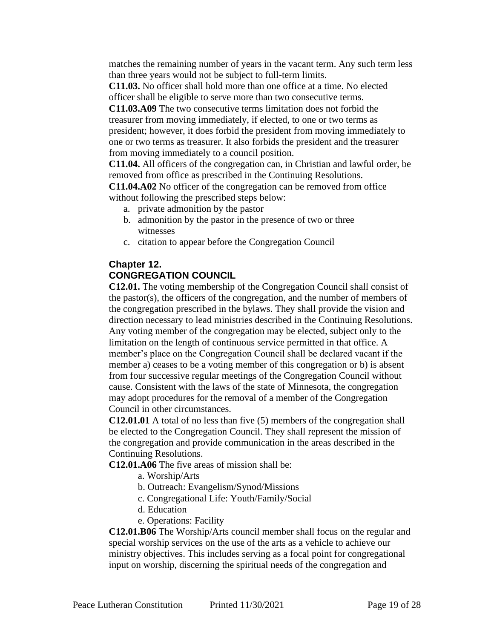matches the remaining number of years in the vacant term. Any such term less than three years would not be subject to full-term limits.

**C11.03.** No officer shall hold more than one office at a time. No elected officer shall be eligible to serve more than two consecutive terms.

**C11.03.A09** The two consecutive terms limitation does not forbid the treasurer from moving immediately, if elected, to one or two terms as president; however, it does forbid the president from moving immediately to one or two terms as treasurer. It also forbids the president and the treasurer from moving immediately to a council position.

**C11.04.** All officers of the congregation can, in Christian and lawful order, be removed from office as prescribed in the Continuing Resolutions.

**C11.04.A02** No officer of the congregation can be removed from office without following the prescribed steps below:

- a. private admonition by the pastor
- b. admonition by the pastor in the presence of two or three witnesses
- c. citation to appear before the Congregation Council

### **Chapter 12. CONGREGATION COUNCIL**

**C12.01.** The voting membership of the Congregation Council shall consist of the pastor(s), the officers of the congregation, and the number of members of the congregation prescribed in the bylaws. They shall provide the vision and direction necessary to lead ministries described in the Continuing Resolutions. Any voting member of the congregation may be elected, subject only to the limitation on the length of continuous service permitted in that office. A member's place on the Congregation Council shall be declared vacant if the member a) ceases to be a voting member of this congregation or b) is absent from four successive regular meetings of the Congregation Council without cause. Consistent with the laws of the state of Minnesota, the congregation may adopt procedures for the removal of a member of the Congregation Council in other circumstances.

**C12.01.01** A total of no less than five (5) members of the congregation shall be elected to the Congregation Council. They shall represent the mission of the congregation and provide communication in the areas described in the Continuing Resolutions.

**C12.01.A06** The five areas of mission shall be:

a. Worship/Arts

- b. Outreach: Evangelism/Synod/Missions
- c. Congregational Life: Youth/Family/Social
- d. Education
- e. Operations: Facility

**C12.01.B06** The Worship/Arts council member shall focus on the regular and special worship services on the use of the arts as a vehicle to achieve our ministry objectives. This includes serving as a focal point for congregational input on worship, discerning the spiritual needs of the congregation and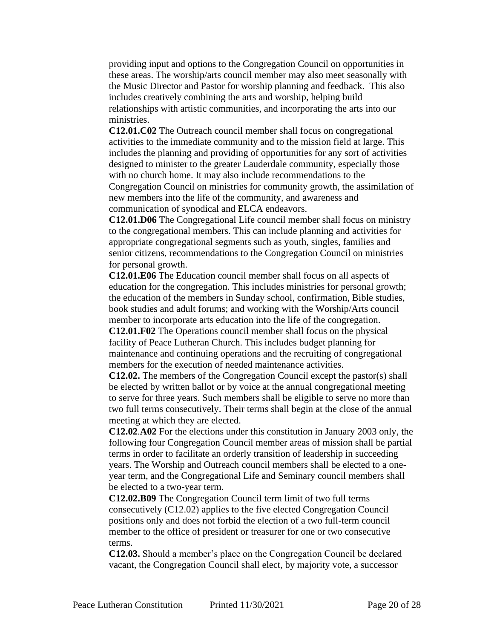providing input and options to the Congregation Council on opportunities in these areas. The worship/arts council member may also meet seasonally with the Music Director and Pastor for worship planning and feedback. This also includes creatively combining the arts and worship, helping build relationships with artistic communities, and incorporating the arts into our ministries.

**C12.01.C02** The Outreach council member shall focus on congregational activities to the immediate community and to the mission field at large. This includes the planning and providing of opportunities for any sort of activities designed to minister to the greater Lauderdale community, especially those with no church home. It may also include recommendations to the Congregation Council on ministries for community growth, the assimilation of new members into the life of the community, and awareness and communication of synodical and ELCA endeavors.

**C12.01.D06** The Congregational Life council member shall focus on ministry to the congregational members. This can include planning and activities for appropriate congregational segments such as youth, singles, families and senior citizens, recommendations to the Congregation Council on ministries for personal growth.

**C12.01.E06** The Education council member shall focus on all aspects of education for the congregation. This includes ministries for personal growth; the education of the members in Sunday school, confirmation, Bible studies, book studies and adult forums; and working with the Worship/Arts council member to incorporate arts education into the life of the congregation.

**C12.01.F02** The Operations council member shall focus on the physical facility of Peace Lutheran Church. This includes budget planning for maintenance and continuing operations and the recruiting of congregational members for the execution of needed maintenance activities.

**C12.02.** The members of the Congregation Council except the pastor(s) shall be elected by written ballot or by voice at the annual congregational meeting to serve for three years. Such members shall be eligible to serve no more than two full terms consecutively. Their terms shall begin at the close of the annual meeting at which they are elected.

**C12.02**.**A02** For the elections under this constitution in January 2003 only, the following four Congregation Council member areas of mission shall be partial terms in order to facilitate an orderly transition of leadership in succeeding years. The Worship and Outreach council members shall be elected to a oneyear term, and the Congregational Life and Seminary council members shall be elected to a two-year term.

**C12.02.B09** The Congregation Council term limit of two full terms consecutively (C12.02) applies to the five elected Congregation Council positions only and does not forbid the election of a two full-term council member to the office of president or treasurer for one or two consecutive terms.

**C12.03.** Should a member's place on the Congregation Council be declared vacant, the Congregation Council shall elect, by majority vote, a successor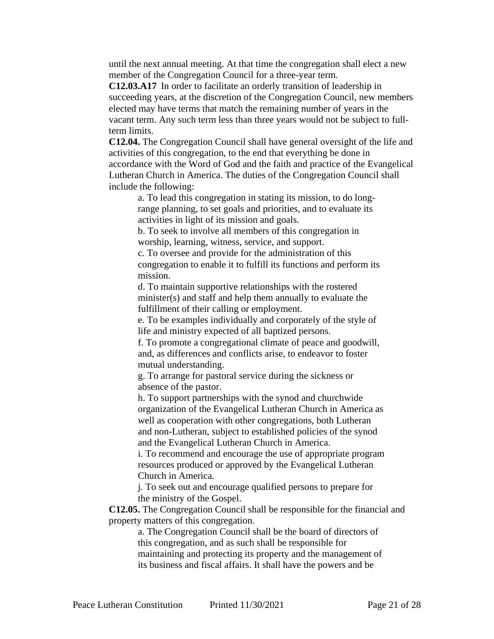until the next annual meeting. At that time the congregation shall elect a new member of the Congregation Council for a three-year term.

**C12.03.A17** In order to facilitate an orderly transition of leadership in succeeding years, at the discretion of the Congregation Council, new members elected may have terms that match the remaining number of years in the vacant term. Any such term less than three years would not be subject to fullterm limits.

**C12.04.** The Congregation Council shall have general oversight of the life and activities of this congregation, to the end that everything be done in accordance with the Word of God and the faith and practice of the Evangelical Lutheran Church in America. The duties of the Congregation Council shall include the following:

a. To lead this congregation in stating its mission, to do longrange planning, to set goals and priorities, and to evaluate its activities in light of its mission and goals.

b. To seek to involve all members of this congregation in worship, learning, witness, service, and support.

c. To oversee and provide for the administration of this congregation to enable it to fulfill its functions and perform its mission.

d. To maintain supportive relationships with the rostered minister(s) and staff and help them annually to evaluate the fulfillment of their calling or employment.

e. To be examples individually and corporately of the style of life and ministry expected of all baptized persons.

f. To promote a congregational climate of peace and goodwill, and, as differences and conflicts arise, to endeavor to foster mutual understanding.

g. To arrange for pastoral service during the sickness or absence of the pastor.

h. To support partnerships with the synod and churchwide organization of the Evangelical Lutheran Church in America as well as cooperation with other congregations, both Lutheran and non-Lutheran, subject to established policies of the synod and the Evangelical Lutheran Church in America.

i. To recommend and encourage the use of appropriate program resources produced or approved by the Evangelical Lutheran Church in America.

j. To seek out and encourage qualified persons to prepare for the ministry of the Gospel.

**C12.05.** The Congregation Council shall be responsible for the financial and property matters of this congregation.

a. The Congregation Council shall be the board of directors of this congregation, and as such shall be responsible for maintaining and protecting its property and the management of its business and fiscal affairs. It shall have the powers and be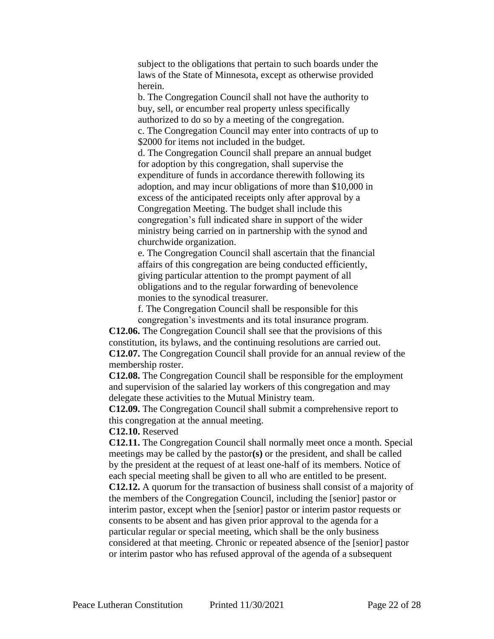subject to the obligations that pertain to such boards under the laws of the State of Minnesota, except as otherwise provided herein.

b. The Congregation Council shall not have the authority to buy, sell, or encumber real property unless specifically authorized to do so by a meeting of the congregation. c. The Congregation Council may enter into contracts of up to \$2000 for items not included in the budget.

d. The Congregation Council shall prepare an annual budget for adoption by this congregation, shall supervise the expenditure of funds in accordance therewith following its adoption, and may incur obligations of more than \$10,000 in excess of the anticipated receipts only after approval by a Congregation Meeting. The budget shall include this congregation's full indicated share in support of the wider ministry being carried on in partnership with the synod and churchwide organization.

e. The Congregation Council shall ascertain that the financial affairs of this congregation are being conducted efficiently, giving particular attention to the prompt payment of all obligations and to the regular forwarding of benevolence monies to the synodical treasurer.

f. The Congregation Council shall be responsible for this congregation's investments and its total insurance program.

**C12.06.** The Congregation Council shall see that the provisions of this constitution, its bylaws, and the continuing resolutions are carried out. **C12.07.** The Congregation Council shall provide for an annual review of the membership roster.

**C12.08.** The Congregation Council shall be responsible for the employment and supervision of the salaried lay workers of this congregation and may delegate these activities to the Mutual Ministry team.

**C12.09.** The Congregation Council shall submit a comprehensive report to this congregation at the annual meeting.

#### **C12.10.** Reserved

**C12.11.** The Congregation Council shall normally meet once a month. Special meetings may be called by the pastor**(s)** or the president, and shall be called by the president at the request of at least one-half of its members. Notice of each special meeting shall be given to all who are entitled to be present.

**C12.12.** A quorum for the transaction of business shall consist of a majority of the members of the Congregation Council, including the [senior] pastor or interim pastor, except when the [senior] pastor or interim pastor requests or consents to be absent and has given prior approval to the agenda for a particular regular or special meeting, which shall be the only business considered at that meeting. Chronic or repeated absence of the [senior] pastor or interim pastor who has refused approval of the agenda of a subsequent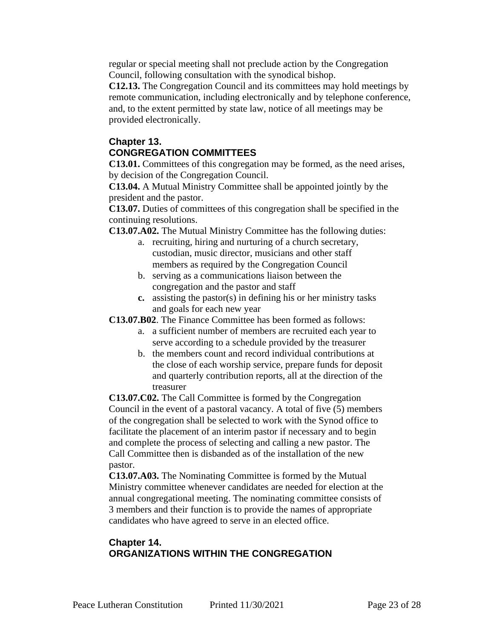regular or special meeting shall not preclude action by the Congregation Council, following consultation with the synodical bishop.

**C12.13.** The Congregation Council and its committees may hold meetings by remote communication, including electronically and by telephone conference, and, to the extent permitted by state law, notice of all meetings may be provided electronically.

### **Chapter 13. CONGREGATION COMMITTEES**

**C13.01.** Committees of this congregation may be formed, as the need arises, by decision of the Congregation Council.

**C13.04.** A Mutual Ministry Committee shall be appointed jointly by the president and the pastor.

**C13.07.** Duties of committees of this congregation shall be specified in the continuing resolutions.

**C13.07.A02.** The Mutual Ministry Committee has the following duties:

- a. recruiting, hiring and nurturing of a church secretary, custodian, music director, musicians and other staff members as required by the Congregation Council
- b. serving as a communications liaison between the congregation and the pastor and staff
- **c.** assisting the pastor(s) in defining his or her ministry tasks and goals for each new year

**C13.07.B02**. The Finance Committee has been formed as follows:

- a. a sufficient number of members are recruited each year to serve according to a schedule provided by the treasurer
- b. the members count and record individual contributions at the close of each worship service, prepare funds for deposit and quarterly contribution reports, all at the direction of the treasurer

**C13.07.C02.** The Call Committee is formed by the Congregation Council in the event of a pastoral vacancy. A total of five (5) members of the congregation shall be selected to work with the Synod office to facilitate the placement of an interim pastor if necessary and to begin and complete the process of selecting and calling a new pastor. The Call Committee then is disbanded as of the installation of the new pastor.

**C13.07.A03.** The Nominating Committee is formed by the Mutual Ministry committee whenever candidates are needed for election at the annual congregational meeting. The nominating committee consists of 3 members and their function is to provide the names of appropriate candidates who have agreed to serve in an elected office.

# **Chapter 14. ORGANIZATIONS WITHIN THE CONGREGATION**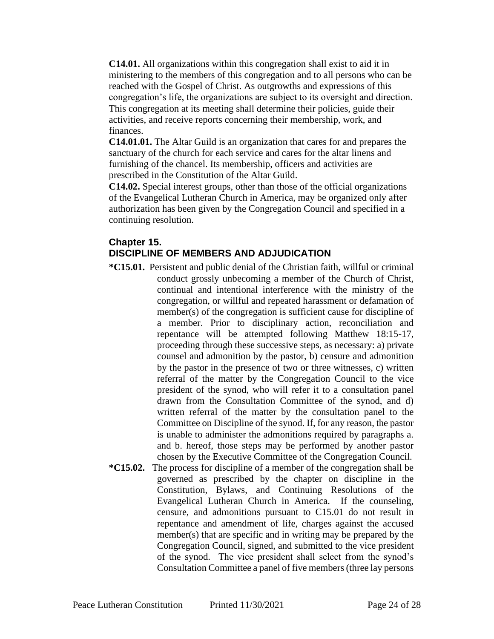**C14.01.** All organizations within this congregation shall exist to aid it in ministering to the members of this congregation and to all persons who can be reached with the Gospel of Christ. As outgrowths and expressions of this congregation's life, the organizations are subject to its oversight and direction. This congregation at its meeting shall determine their policies, guide their activities, and receive reports concerning their membership, work, and finances.

**C14.01.01.** The Altar Guild is an organization that cares for and prepares the sanctuary of the church for each service and cares for the altar linens and furnishing of the chancel. Its membership, officers and activities are prescribed in the Constitution of the Altar Guild.

**C14.02.** Special interest groups, other than those of the official organizations of the Evangelical Lutheran Church in America, may be organized only after authorization has been given by the Congregation Council and specified in a continuing resolution.

### **Chapter 15. DISCIPLINE OF MEMBERS AND ADJUDICATION**

- **\*C15.01.** Persistent and public denial of the Christian faith, willful or criminal conduct grossly unbecoming a member of the Church of Christ, continual and intentional interference with the ministry of the congregation, or willful and repeated harassment or defamation of member(s) of the congregation is sufficient cause for discipline of a member. Prior to disciplinary action, reconciliation and repentance will be attempted following Matthew 18:15-17, proceeding through these successive steps, as necessary: a) private counsel and admonition by the pastor, b) censure and admonition by the pastor in the presence of two or three witnesses, c) written referral of the matter by the Congregation Council to the vice president of the synod, who will refer it to a consultation panel drawn from the Consultation Committee of the synod, and d) written referral of the matter by the consultation panel to the Committee on Discipline of the synod. If, for any reason, the pastor is unable to administer the admonitions required by paragraphs a. and b. hereof, those steps may be performed by another pastor chosen by the Executive Committee of the Congregation Council.
- **\*C15.02.** The process for discipline of a member of the congregation shall be governed as prescribed by the chapter on discipline in the Constitution, Bylaws, and Continuing Resolutions of the Evangelical Lutheran Church in America. If the counseling, censure, and admonitions pursuant to C15.01 do not result in repentance and amendment of life, charges against the accused member(s) that are specific and in writing may be prepared by the Congregation Council, signed, and submitted to the vice president of the synod. The vice president shall select from the synod's Consultation Committee a panel of five members (three lay persons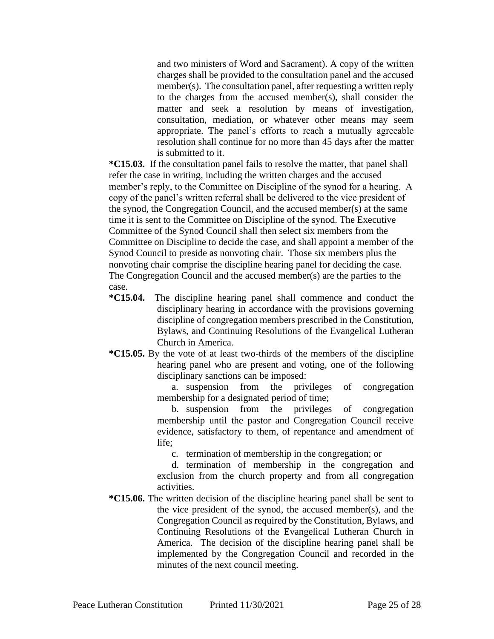and two ministers of Word and Sacrament). A copy of the written charges shall be provided to the consultation panel and the accused member(s). The consultation panel, after requesting a written reply to the charges from the accused member(s), shall consider the matter and seek a resolution by means of investigation, consultation, mediation, or whatever other means may seem appropriate. The panel's efforts to reach a mutually agreeable resolution shall continue for no more than 45 days after the matter is submitted to it.

**\*C15.03.** If the consultation panel fails to resolve the matter, that panel shall refer the case in writing, including the written charges and the accused member's reply, to the Committee on Discipline of the synod for a hearing. A copy of the panel's written referral shall be delivered to the vice president of the synod, the Congregation Council, and the accused member(s) at the same time it is sent to the Committee on Discipline of the synod. The Executive Committee of the Synod Council shall then select six members from the Committee on Discipline to decide the case, and shall appoint a member of the Synod Council to preside as nonvoting chair. Those six members plus the nonvoting chair comprise the discipline hearing panel for deciding the case. The Congregation Council and the accused member(s) are the parties to the case.

- **\*C15.04.** The discipline hearing panel shall commence and conduct the disciplinary hearing in accordance with the provisions governing discipline of congregation members prescribed in the Constitution, Bylaws, and Continuing Resolutions of the Evangelical Lutheran Church in America.
- **\*C15.05.** By the vote of at least two-thirds of the members of the discipline hearing panel who are present and voting, one of the following disciplinary sanctions can be imposed:

a. suspension from the privileges of congregation membership for a designated period of time;

b. suspension from the privileges of congregation membership until the pastor and Congregation Council receive evidence, satisfactory to them, of repentance and amendment of life;

c. termination of membership in the congregation; or

d. termination of membership in the congregation and exclusion from the church property and from all congregation activities.

**\*C15.06.** The written decision of the discipline hearing panel shall be sent to the vice president of the synod, the accused member(s), and the Congregation Council as required by the Constitution, Bylaws, and Continuing Resolutions of the Evangelical Lutheran Church in America. The decision of the discipline hearing panel shall be implemented by the Congregation Council and recorded in the minutes of the next council meeting.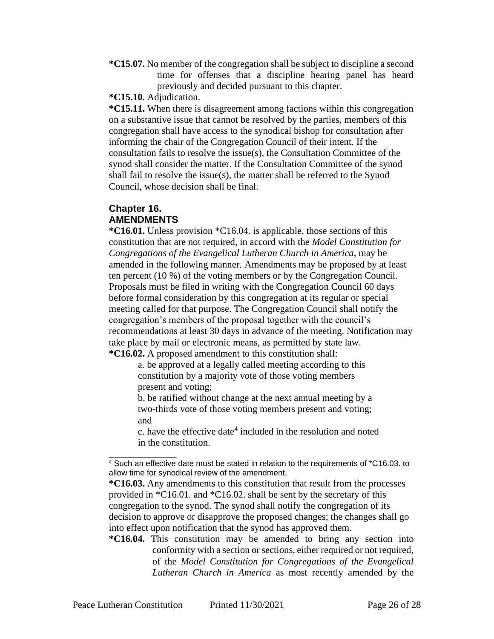- **\*C15.07.** No member of the congregation shall be subject to discipline a second time for offenses that a discipline hearing panel has heard previously and decided pursuant to this chapter.
- **\*C15.10.** Adjudication.

**\*C15.11.** When there is disagreement among factions within this congregation on a substantive issue that cannot be resolved by the parties, members of this congregation shall have access to the synodical bishop for consultation after informing the chair of the Congregation Council of their intent. If the consultation fails to resolve the issue(s), the Consultation Committee of the synod shall consider the matter. If the Consultation Committee of the synod shall fail to resolve the issue(s), the matter shall be referred to the Synod Council, whose decision shall be final.

#### **Chapter 16. AMENDMENTS**

\_\_\_\_\_\_\_\_\_\_\_\_\_\_

**\*C16.01.** Unless provision \*C16.04. is applicable, those sections of this constitution that are not required, in accord with the *Model Constitution for Congregations of the Evangelical Lutheran Church in America*, may be amended in the following manner. Amendments may be proposed by at least ten percent (10 %) of the voting members or by the Congregation Council. Proposals must be filed in writing with the Congregation Council 60 days before formal consideration by this congregation at its regular or special meeting called for that purpose. The Congregation Council shall notify the congregation's members of the proposal together with the council's recommendations at least 30 days in advance of the meeting. Notification may take place by mail or electronic means, as permitted by state law. **\*C16.02.** A proposed amendment to this constitution shall:

a. be approved at a legally called meeting according to this constitution by a majority vote of those voting members present and voting;

b. be ratified without change at the next annual meeting by a two-thirds vote of those voting members present and voting; and

c. have the effective date<sup>4</sup> included in the resolution and noted in the constitution.

<sup>4</sup> Such an effective date must be stated in relation to the requirements of \*C16.03. to allow time for synodical review of the amendment.

**<sup>\*</sup>C16.03.** Any amendments to this constitution that result from the processes provided in \*C16.01. and \*C16.02. shall be sent by the secretary of this congregation to the synod. The synod shall notify the congregation of its decision to approve or disapprove the proposed changes; the changes shall go into effect upon notification that the synod has approved them.

**<sup>\*</sup>C16.04.** This constitution may be amended to bring any section into conformity with a section or sections, either required or not required, of the *Model Constitution for Congregations of the Evangelical Lutheran Church in America* as most recently amended by the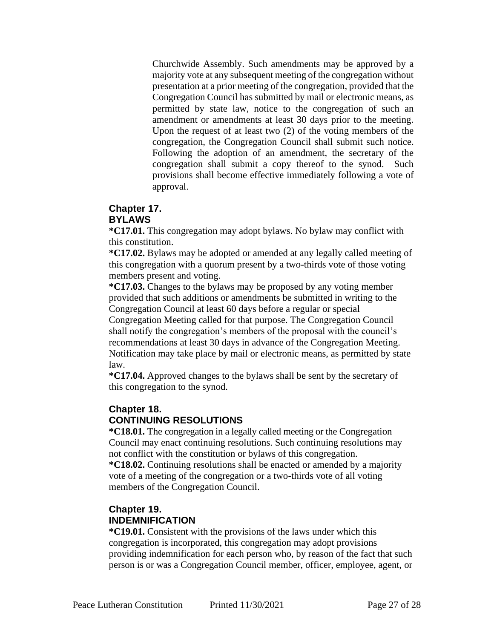Churchwide Assembly. Such amendments may be approved by a majority vote at any subsequent meeting of the congregation without presentation at a prior meeting of the congregation, provided that the Congregation Council has submitted by mail or electronic means, as permitted by state law, notice to the congregation of such an amendment or amendments at least 30 days prior to the meeting. Upon the request of at least two (2) of the voting members of the congregation, the Congregation Council shall submit such notice. Following the adoption of an amendment, the secretary of the congregation shall submit a copy thereof to the synod. Such provisions shall become effective immediately following a vote of approval.

#### **Chapter 17. BYLAWS**

**\*C17.01.** This congregation may adopt bylaws. No bylaw may conflict with this constitution.

**\*C17.02.** Bylaws may be adopted or amended at any legally called meeting of this congregation with a quorum present by a two-thirds vote of those voting members present and voting.

**\*C17.03.** Changes to the bylaws may be proposed by any voting member provided that such additions or amendments be submitted in writing to the Congregation Council at least 60 days before a regular or special Congregation Meeting called for that purpose. The Congregation Council shall notify the congregation's members of the proposal with the council's recommendations at least 30 days in advance of the Congregation Meeting. Notification may take place by mail or electronic means, as permitted by state

law.

**\*C17.04.** Approved changes to the bylaws shall be sent by the secretary of this congregation to the synod.

# **Chapter 18. CONTINUING RESOLUTIONS**

**\*C18.01.** The congregation in a legally called meeting or the Congregation Council may enact continuing resolutions. Such continuing resolutions may not conflict with the constitution or bylaws of this congregation.

**\*C18.02.** Continuing resolutions shall be enacted or amended by a majority vote of a meeting of the congregation or a two-thirds vote of all voting members of the Congregation Council.

# **Chapter 19. INDEMNIFICATION**

**\*C19.01.** Consistent with the provisions of the laws under which this congregation is incorporated, this congregation may adopt provisions providing indemnification for each person who, by reason of the fact that such person is or was a Congregation Council member, officer, employee, agent, or